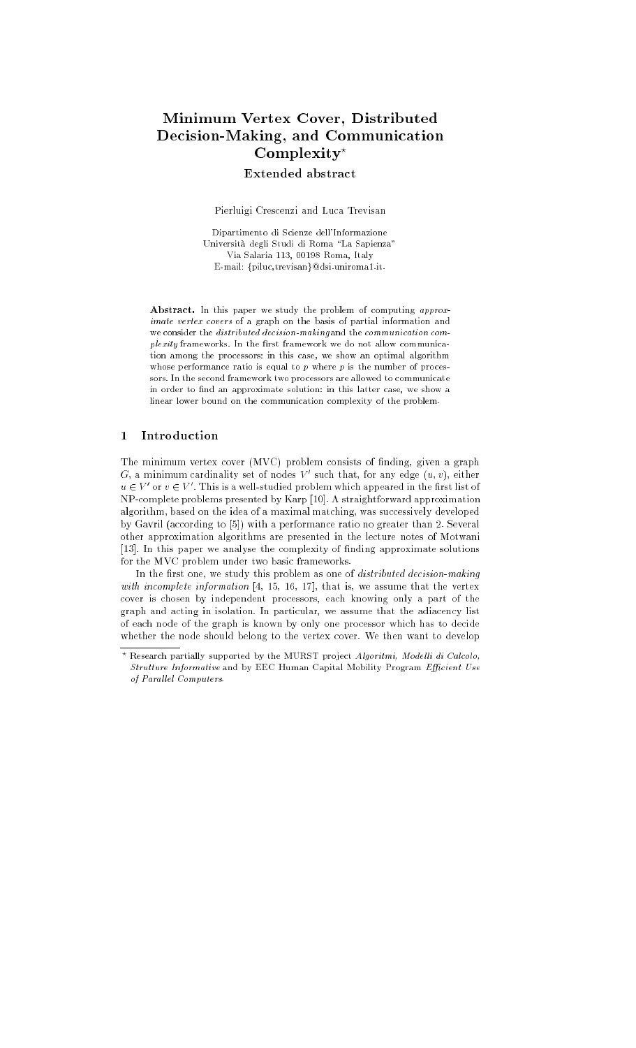# Minimum Vertex Cover, Distributed Decision-Making, and Communication  $Complexity<sup>*</sup>$

Extended abstract

Pierluigi Crescenzi and Luca Trevisan

Dipartimento di Scienze dell'Informazione Universita degli Studi di Roma \La Sapienza" Via Salaria 113, 00198 Roma, Italy E-mail: {piluc,trevisan}@dsi.uniroma1.it.

Abstract. In this paper we study the problem of computing approximate vertex covers of a graph on the basis of partial information and we consider the distributed decision-making and the communication com $plexity$  frameworks. In the first framework we do not allow communication among the processors: in this case, we show an optimal algorithm whose performance ratio is equal to  $p$  where  $p$  is the number of processors. In the second framework two processors are allowed to communicate in order to find an approximate solution: in this latter case, we show a linear lower bound on the communication complexity of the problem.

#### $\mathbf{1}$ **Introduction**

The minimum vertex cover (MVC) problem consists of finding, given a graph  $G$ , a minimum cardinality set of nodes  $V'$  such that, for any edge  $(u, v)$ , either  $u \in V'$  or  $v \in V'$ . This is a well-studied problem which appeared in the first list of NP-complete problems presented by Karp [10]. A straightforward approximation algorithm, based on the idea of a maximal matching, was successively developed by Gavril (according to [5]) with a performance ratio no greater than 2. Several other approximation algorithms are presented in the lecture notes of Motwani [13]. In this paper we analyse the complexity of nding approximate solutions for the MVC problem under two basic frameworks.

In the first one, we study this problem as one of *distributed decision-making* with incomplete information [4, 15, 16, 17], that is, we assume that the vertex cover is chosen by independent processors, each knowing only a part of the graph and acting in isolation. In particular, we assume that the adiacency list of each node of the graph is known by only one processor which has to decide whether the node should belong to the vertex cover. We then want to develop

Research partially supported by the MURST project Algoritmi, Modelli di Calcolo, Strutture Informative and by EEC Human Capital Mobility Program Efficient Use of Parallel Computers. of Paral lel Computers.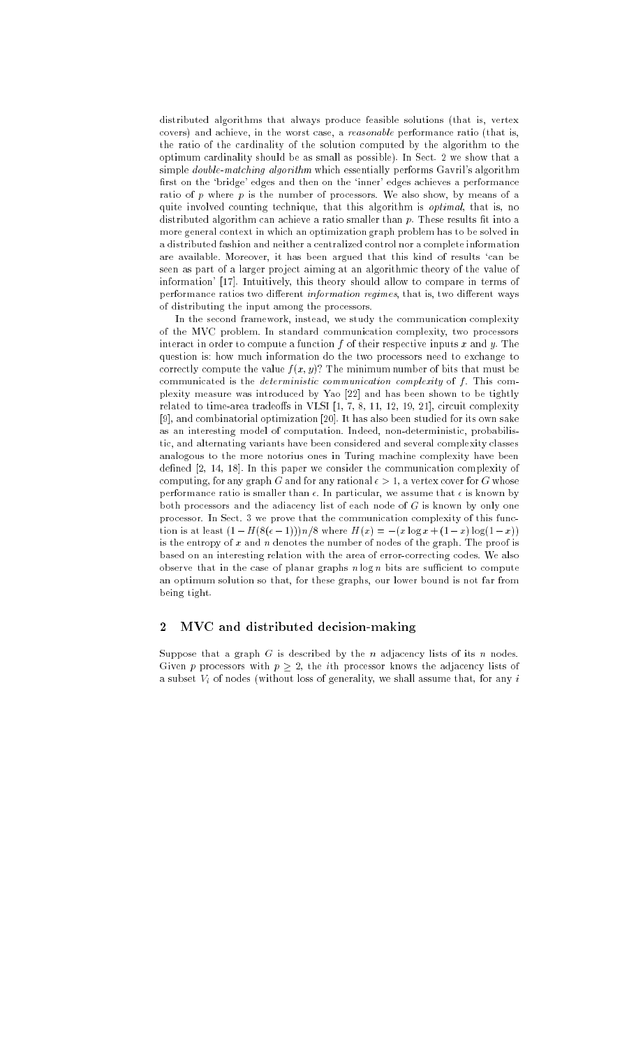distributed algorithms that always produce feasible solutions (that is, vertex covers) and achieve, in the worst case, a reasonable performance ratio (that is, the ratio of the cardinality of the solution computed by the algorithm to the optimum cardinality should be as small as possible). In Sect. 2 we show that a simple double-matching algorithm which essentially performs Gavril's algorithm first on the 'bridge' edges and then on the 'inner' edges achieves a performance ratio of p where  $p$  is the number of processors. We also show, by means of a quite involved counting technique, that this algorithm is *optimal*, that is, no distributed algorithm can achieve a ratio smaller than  $p$ . These results fit into a more general context in which an optimization graph problem has to be solved in a distributed fashion and neither a centralized control nor a complete information are available. Moreover, it has been argued that this kind of results 'can be seen as part of a larger project aiming at an algorithmic theory of the value of information' [17]. Intuitively, this theory should allow to compare in terms of performance ratios two different information regimes, that is, two different ways of distributing the input among the processors.

In the second framework, instead, we study the communication complexity of the MVC problem. In standard communication complexity, two processors interact in order to compute a function  $f$  of their respective inputs  $x$  and  $y$ . The question is: how much information do the two processors need to exchange to correctly compute the value  $f(x, y)$ ? The minimum number of bits that must be communicated is the *deterministic communication complexity* of  $f$ . This complexity measure was introduced by Yao [22] and has been shown to be tightly related to time-area tradeoffs in VLSI  $[1, 7, 8, 11, 12, 19, 21]$ , circuit complexity [9], and combinatorial optimization [20]. It has also been studied for its own sake as an interesting model of computation. Indeed, non-deterministic, probabilistic, and alternating variants have been considered and several complexity classes analogous to the more notorius ones in Turing machine complexity have been defined [2, 14, 18]. In this paper we consider the communication complexity of computing, for any graph G and for any rational  $\epsilon > 1$ , a vertex cover for G whose performance ratio is smaller than  $\epsilon$ . In particular, we assume that  $\epsilon$  is known by both processors and the adiacency list of each node of  $G$  is known by only one processor. In Sect. 3 we prove that the communication complexity of this function is at least  $(1 - H(8(\epsilon - 1)))n/8$  where  $H(x) = -(x \log x + (1 - x) \log(1 - x))$ is the entropy of  $x$  and  $n$  denotes the number of nodes of the graph. The proof is based on an interesting relation with the area of error-correcting codes. We also observe that in the case of planar graphs  $n \log n$  bits are sufficient to compute an optimum solution so that, for these graphs, our lower bound is not far from being tight.

#### $\overline{2}$  $\operatorname{MVC}$  and distributed decision-making

Suppose that a graph  $G$  is described by the n adjacency lists of its n nodes. Given p processors with  $p \geq 2$ , the *i*th processor knows the adjacency lists of a subset  $V_i$  of nodes (without loss of generality, we shall assume that, for any i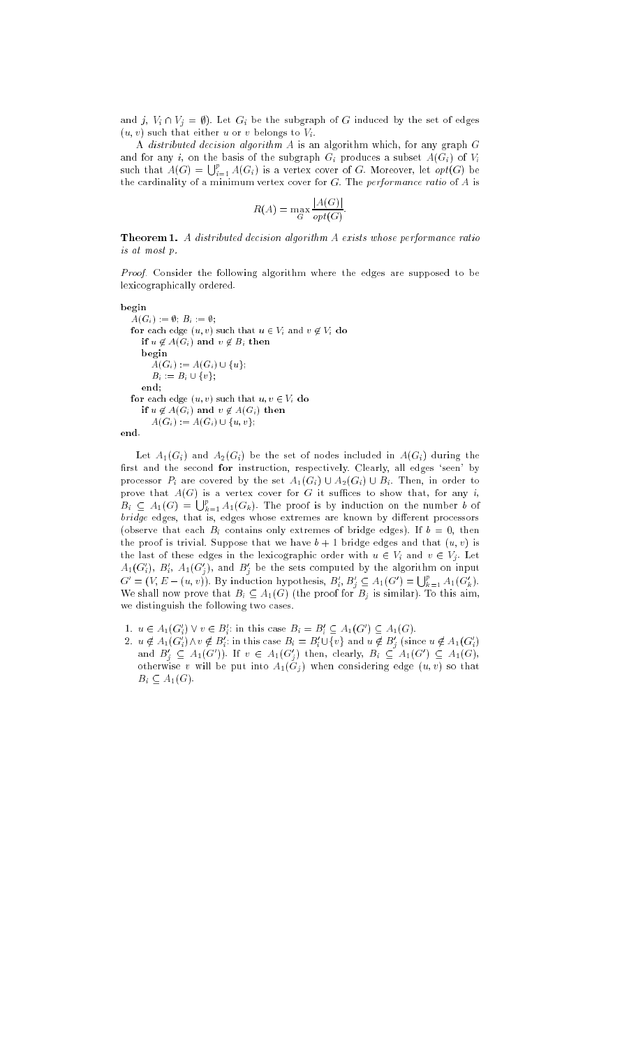and j,  $V_i \cap V_j = \emptyset$ . Let  $G_i$  be the subgraph of G induced by the set of edges  $(u, v)$  such that either u or v belongs to  $V_i$ .

A distributed decision algorithm A is an algorithm which, for any graph G and for any i, on the basis of the subgraph  $G_i$  produces a subset  $A(G_i)$  of  $V_i$ such that  $A(G) = \bigcup_{i=1}^{p} A(G_i)$  is a vertex cover of G. Moreover, let  $opt(G)$  be the cardinality of a minimum vertex cover for  $G$ . The *performance ratio* of  $A$  is

$$
R(A) = \max_{G} \frac{|A(G)|}{opt(G)}.
$$

**Theorem 1.** A distributed decision algorithm A exists whose performance ratio is at most p.

Proof. Consider the following algorithm where the edges are supposed to be lexicographically ordered.

begin  $A(G_i) := \emptyset; B_i := \emptyset;$ for each edge  $(u, v)$  such that  $u \in V_i$  and  $v \notin V_i$  do if  $u \notin A(G_i)$  and  $v \notin B_i$  then begin  $A(G_i) := A(G_i) \cup \{u\};$  $B_i := B_i \cup \{v\};$ end; for each edge  $(u, v)$  such that  $u, v \in V_i$  do if  $u \notin A(G_i)$  and  $v \notin A(G_i)$  then  $A(G_i) := A(G_i) \cup \{u, v\};$ 

end.

Let  $A_1(G_i)$  and  $A_2(G_i)$  be the set of nodes included in  $A(G_i)$  during the first and the second for instruction, respectively. Clearly, all edges 'seen' by processor  $P_i$  are covered by the set  $A_1(G_i) \cup A_2(G_i) \cup B_i$ . Then, in order to prove that  $A(G)$  is a vertex cover for G it suffices to show that, for any i,  $B_i \subseteq A_1(G) = \bigcup_{k=1}^p A_1(G_k)$ . The proof is by induction on the number b of  $bridge$  edges, that is, edges whose extremes are known by different processors (observe that each  $B_i$  contains only extremes of bridge edges). If  $b = 0$ , then the proof is trivial. Suppose that we have  $b + 1$  bridge edges and that  $(u, v)$  is the last of these edges in the lexicographic order with  $u \in V_i$  and  $v \in V_j$ . Let  $A_1(G_i'), B_i', \ A_1(G_j'),$  and  $B_j'$  be the sets computed by the algorithm on input  $G' = (V, E - (u, v))$ . By induction hypothesis,  $B'_i, B'_j \subseteq A_1(G') = \bigcup_{k=1}^p A_1(G'_k)$ . We shall now prove that  $B_i \subseteq A_1(G)$  (the proof for  $B_j$  is similar). To this aim, we distinguish the following two cases.

- 1.  $u \in A_1(G_i') \vee v \in B_i'$ : in this case  $B_i = B_i' \subseteq A_1(G') \subseteq A_1(G)$ .
- 2.  $u \notin A_1(G_i') \wedge v \notin B_i'$ : in this case  $B_i = B_i' \cup \{v\}$  and  $u \notin B_j'$  (since  $u \notin A_1(G_i')$ )<br>and  $B_j' \subseteq A_1(G')$ ). If  $v \in A_1(G_j')$  then, clearly,  $B_i \subseteq A_1(G') \subseteq A_1(G)$ , otherwise v will be put into  $A_1(G_j)$  when considering edge  $(u, v)$  so that  $B_i \subseteq A_1(G)$ .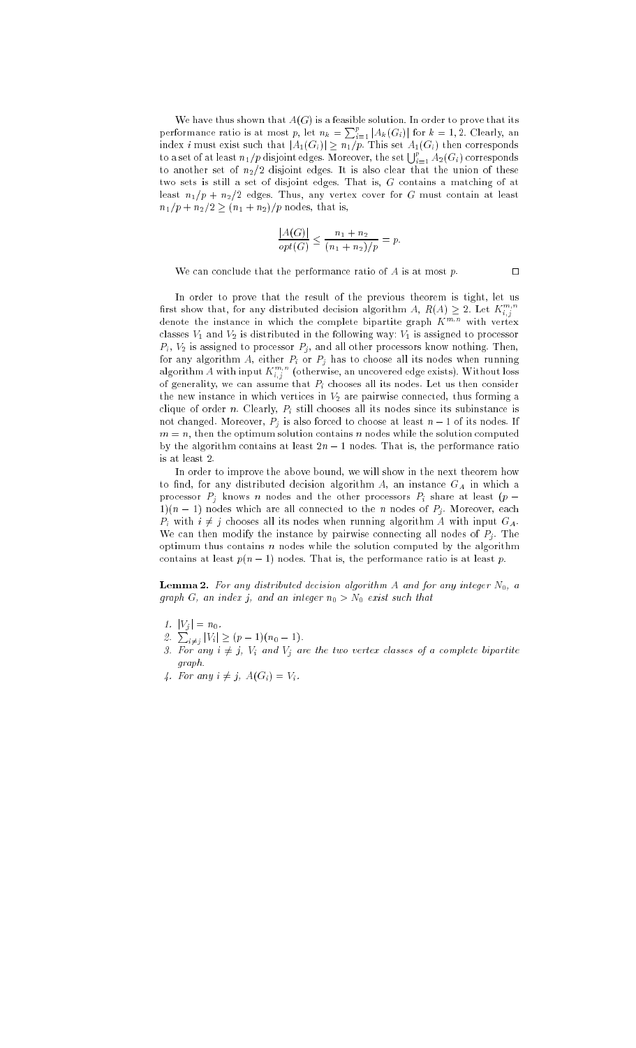We have thus shown that  $A(G)$  is a feasible solution. In order to prove that its performance ratio is at most p, let  $n_k = \sum_{i=1}^p |A_k(G_i)|$  for  $k = 1, 2$ . Clearly, an index i must exist such that  $|A_1(G_i)| \geq n_1/p$ . This set  $A_1(G_i)$  then corresponds to a set of at least  $n_1/p$  disjoint edges. Moreover, the set  $\bigcup_{i=1}^p A_2(G_i)$  corresponds to another set of  $n_2/2$  disjoint edges. It is also clear that the union of these two sets is still a set of disjoint edges. That is, G contains a matching of at least  $n_1/p + n_2/2$  edges. Thus, any vertex cover for G must contain at least  $n_1/p + n_2/2 \ge (n_1 + n_2)/p$  nodes, that is,

$$
\frac{|A(G)|}{opt(G)} \le \frac{n_1 + n_2}{(n_1 + n_2)/p} = p.
$$

We can conclude that the performance ratio of  $A$  is at most  $p$ .

In order to prove that the result of the previous theorem is tight, let us first show that, for any distributed decision algorithm  $A,$   $R(A) \geq 2.$  Let  $K^{m,n}_{i,j}$ denote the instance in which the complete bipartite graph  $K^{m,n}$  with vertex classes  $V_1$  and  $V_2$  is distributed in the following way:  $V_1$  is assigned to processor  $P_i$ ,  $V_2$  is assigned to processor  $P_j$ , and all other processors know nothing. Then, for any algorithm A, either  $P_i$  or  $P_j$  has to choose all its nodes when running algorithm A with input  $K^{m,n}_{i,j}$  (otherwise, an uncovered edge exists). Without loss of generality, we can assume that  $P_i$  chooses all its nodes. Let us then consider the new instance in which vertices in  $V_2$  are pairwise connected, thus forming a clique of order n. Clearly,  $P_i$  still chooses all its nodes since its subinstance is not changed. Moreover,  $P_j$  is also forced to choose at least  $n-1$  of its nodes. If  $m = n$ , then the optimum solution contains n nodes while the solution computed by the algorithm contains at least  $2n - 1$  nodes. That is, the performance ratio is at least 2.

In order to improve the above bound, we will show in the next theorem how to find, for any distributed decision algorithm  $A$ , an instance  $G_A$  in which a processor  $P_j$  knows n nodes and the other processors  $P_i$  share at least  $(p 1(n-1)$  nodes which are all connected to the *n* nodes of  $P_j$ . Moreover, each  $P_i$  with  $i \neq j$  chooses all its nodes when running algorithm A with input  $G_A$ . We can then modify the instance by pairwise connecting all nodes of  $P_j$ . The optimum thus contains  $n$  nodes while the solution computed by the algorithm contains at least  $p(n - 1)$  nodes. That is, the performance ratio is at least p.

**Lemma 2.** For any distributed decision algorithm A and for any integer  $N_0$ , a graph G, an index j, and an integer  $n_0 > N_0$  exist such that

1.  $|V_j| = n_0$ .

- 2.  $\sum_{i \neq j} |V_i| \geq (p-1)(n_0 1)$ .
- 3. For any  $i \neq j$ ,  $V_i$  and  $V_j$  are the two vertex classes of a complete bipartite graph.
- 4. For any  $i \neq j$ ,  $A(G_i) = V_i$ .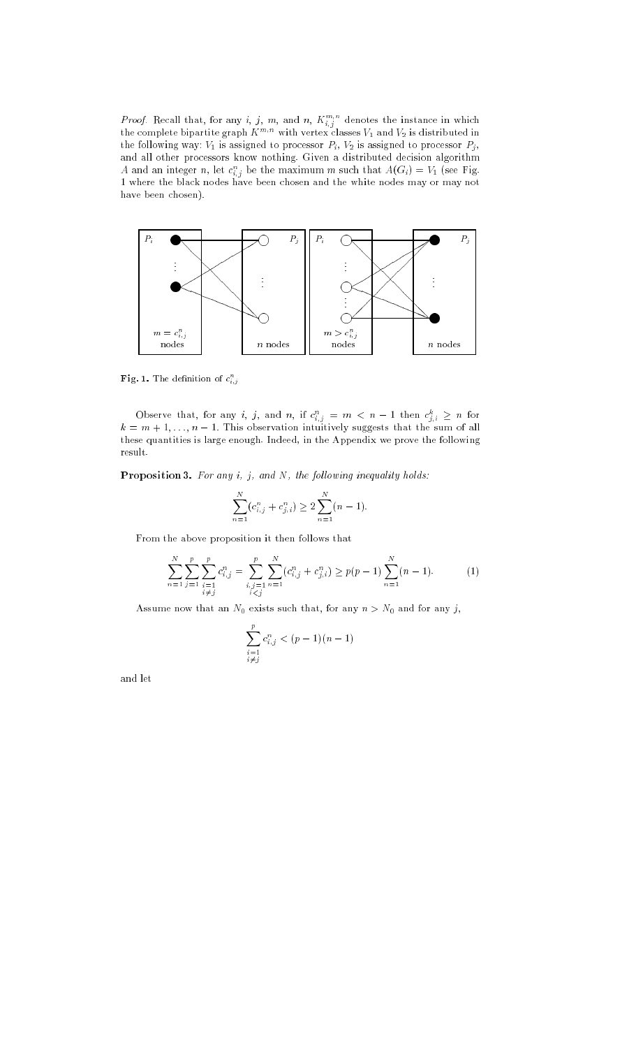*Proof.* Recall that, for any i, j, m, and n,  $K_{i,j}^{m,n}$  denotes the instance in which the complete bipartite graph  $K^{m,n}$  with vertex classes  $V_1$  and  $V_2$  is distributed in the following way:  $V_1$  is assigned to processor  $P_i, \, V_2$  is assigned to processor  $P_j,$ and all other processors know nothing. Given a distributed decision algorithm A and an integer n, let  $c_{i,j}^n$  be the maximum m such that  $A(G_i) = V_1$  (see Fig. 1 where the black nodes have been chosen and the white nodes may or may not have been chosen).



**Fig. 1.** The definition of  $c_{i,j}$ 

Observe that, for any i, j, and n, if  $c_{i,j}^n = m < n-1$  then  $c_{j,i}^k \ge n$  for  $k = m + 1, \ldots, n - 1$ . This observation intuitively suggests that the sum of all these quantities is large enough. Indeed, in the Appendix we prove the following result.

Proposition 3. For any  $i, j,$  and  $N$ , the following inequality holds:

$$
\sum_{n=1}^{N} (c_{i,j}^n + c_{j,i}^n) \ge 2 \sum_{n=1}^{N} (n-1).
$$

From the above proposition it then follows that

$$
\sum_{n=1}^{N} \sum_{\substack{j=1 \ i \neq j}}^{p} \sum_{\substack{i,j=1 \ i \neq j}}^{p} c_{i,j}^{n} = \sum_{\substack{i,j=1 \ i < j}}^{p} \sum_{n=1}^{N} (c_{i,j}^{n} + c_{j,i}^{n}) \ge p(p-1) \sum_{n=1}^{N} (n-1). \tag{1}
$$

Assume now that an  $N_0$  exists such that, for any  $n > N_0$  and for any j,

$$
\sum_{\substack{i=1\\i\neq j}}^{p} c_{i,j}^n < (p-1)(n-1)
$$

and let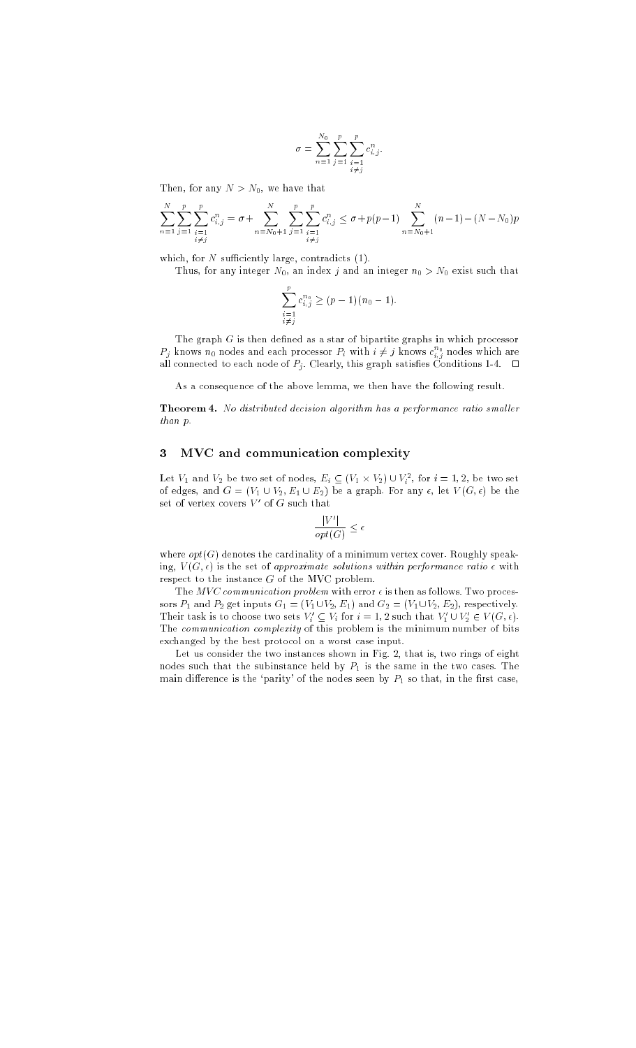$$
\sigma = \sum_{n=1}^{N_0} \sum_{j=1}^p \sum_{\substack{i=1 \ i \neq j}}^p c_{i,j}^n.
$$

Then, for any  $N > N_0$ , we have that

$$
\sum_{n=1}^{N} \sum_{\substack{j=1 \ i \neq j}}^{p} \sum_{\substack{i=1 \ i \neq j}}^{p} c_{i,j}^{n} = \sigma + \sum_{n=N_0+1}^{N} \sum_{\substack{j=1 \ i \neq j}}^{p} \sum_{\substack{i=1 \ i \neq j}}^{p} c_{i,j}^{n} \leq \sigma + p(p-1) \sum_{n=N_0+1}^{N} (n-1) - (N - N_0)p
$$

which, for  $N$  sufficiently large, contradicts  $(1)$ .

Thus, for any integer  $N_0$ , an index j and an integer  $n_0 > N_0$  exist such that

$$
\sum_{\substack{i=1 \ i \neq j}}^{p} c_{i,j}^{n_0} \ge (p-1)(n_0-1).
$$

The graph  $G$  is then defined as a star of bipartite graphs in which processor  $P_j$  knows  $n_0$  nodes and each processor  $P_i$  with  $i\neq j$  knows  $c_{i,j}^{n_0}$  nodes which are all connected to each node of  $P_j$ . Clearly, this graph satisfies Conditions 1-4.  $\Box$ 

As a consequence of the above lemma, we then have the following result.

Theorem 4. No distributed decision algorithm has a performance ratio smaller than p.

#### 3 MVC and communication complexity

Let  $V_1$  and  $V_2$  be two set of nodes,  $E_i \subseteq (V_1 \times V_2) \cup V_i^2$ , for  $i = 1, 2$ , be two set of edges, and  $G = (V_1 \cup V_2, E_1 \cup E_2)$  be a graph. For any  $\epsilon$ , let  $V(G, \epsilon)$  be the set of vertex covers  $V'$  of G such that

$$
\frac{|V'|}{opt(G)} \le \epsilon
$$

where  $opt(G)$  denotes the cardinality of a minimum vertex cover. Roughly speaking,  $V(G, \epsilon)$  is the set of approximate solutions within performance ratio  $\epsilon$  with respect to the instance  $G$  of the MVC problem.

The  $MVC$  communication problem with error  $\epsilon$  is then as follows. Two processors  $P_1$  and  $P_2$  get inputs  $G_1 = (V_1 \cup V_2, E_1)$  and  $G_2 = (V_1 \cup V_2, E_2)$ , respectively. Their task is to choose two sets  $V_i' \subseteq V_i$  for  $i = 1, 2$  such that  $V_1' \cup V_2' \in V(G, \epsilon)$ . The communication complexity of this problem is the minimum number of bits exchanged by the best protocol on a worst case input.

Let us consider the two instances shown in Fig. 2, that is, two rings of eight nodes such that the subinstance held by  $P_1$  is the same in the two cases. The main difference is the 'parity' of the nodes seen by  $P_1$  so that, in the first case,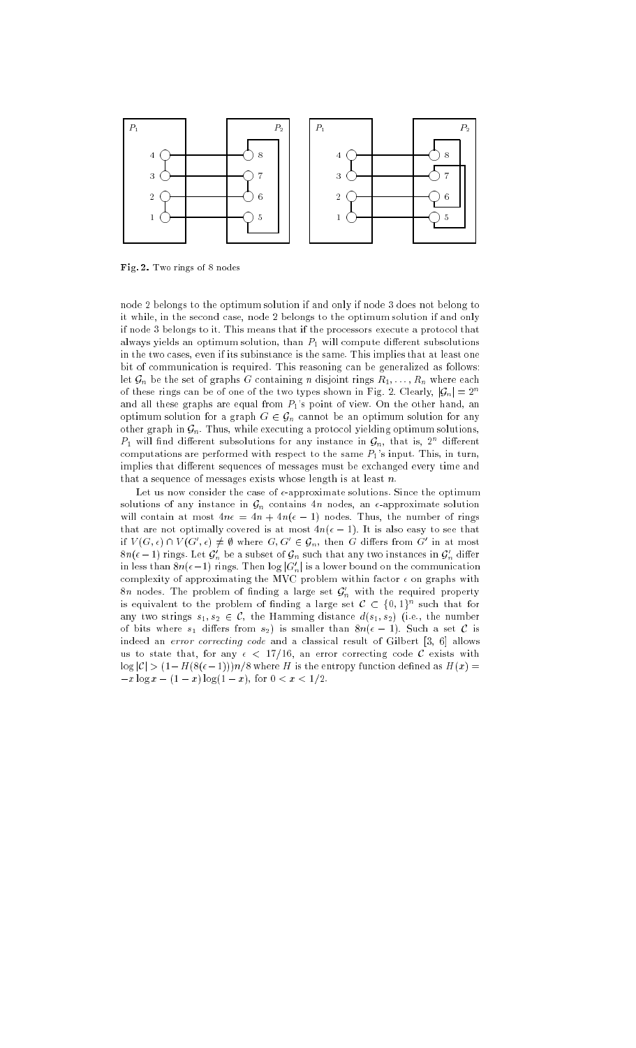

Fig. 2. Two rings of 8 nodes

node 2 belongs to the optimum solution if and only if node 3 does not belong to it while, in the second case, node 2 belongs to the optimum solution if and only if node 3 belongs to it. This means that if the processors execute a protocol that always yields an optimum solution, than  $P_1$  will compute different subsolutions in the two cases, even if its subinstance is the same. This implies that at least one bit of communication is required. This reasoning can be generalized as follows: let  $\mathcal{G}_n$  be the set of graphs G containing n disjoint rings  $R_1, \ldots, R_n$  where each of these rings can be of one of the two types shown in Fig. 2. Clearly,  $|\mathcal{G}_n|=2^n$ and all these graphs are equal from  $P_1$ 's point of view. On the other hand, an optimum solution for a graph  $G \in \mathcal{G}_n$  cannot be an optimum solution for any other graph in  $\mathcal{G}_n$ . Thus, while executing a protocol yielding optimum solutions,  $P_1$  will find different subsolutions for any instance in  $\mathcal{G}_n$ , that is, 2<sup>n</sup> different computations are performed with respect to the same  $P_1$ 's input. This, in turn, implies that different sequences of messages must be exchanged every time and that a sequence of messages exists whose length is at least  $n$ .

Let us now consider the case of  $\epsilon$ -approximate solutions. Since the optimum solutions of any instance in  $\mathcal{G}_n$  contains  $4n$  nodes, an  $\epsilon$ -approximate solution will contain at most  $4n\epsilon = 4n + 4n(\epsilon - 1)$  nodes. Thus, the number of rings that are not optimally covered is at most  $4n(\epsilon - 1)$ . It is also easy to see that if  $V(G, \epsilon) \cap V(G', \epsilon) \neq \emptyset$  where  $G, G' \in \mathcal{G}_n$ , then G differs from G' in at most  $8n(\epsilon-1)$  rings. Let  $\bm{\mathcal{G}}_n$  be a subset of  $\bm{\mathcal{G}}_n$  such that any two instances in  $\bm{\mathcal{G}}_n$  differ in less than  $8n(\epsilon-1)$  rings. Then log  $|G_n'|$  is a lower bound on the communication complexity of approximating the MVC problem within factor  $\epsilon$  on graphs with  $8n$  nodes. The problem of finding a large set  $\mathcal{G}_n^+$  with the required property is equivalent to the problem of finding a large set  $\mathcal{C}\, \subset\, \{0,1\}^n$  such that for any two strings  $s_1, s_2 \in \mathcal{C}$ , the Hamming distance  $d(s_1, s_2)$  (i.e., the number of bits where  $s_1$  differs from  $s_2$ ) is smaller than  $8n(\epsilon - 1)$ . Such a set C is indeed an error correcting code and a classical result of Gilbert [3, 6] allows us to state that, for any  $\epsilon$  < 17/16, an error correcting code C exists with  $\log |\mathcal{C}|$  >  $(1 - H(8(\epsilon - 1)))n/8$  where H is the entropy function defined as  $H(x)$  =  $-x \log x - (1 - x) \log(1 - x)$ , for  $0 < x < 1/2$ .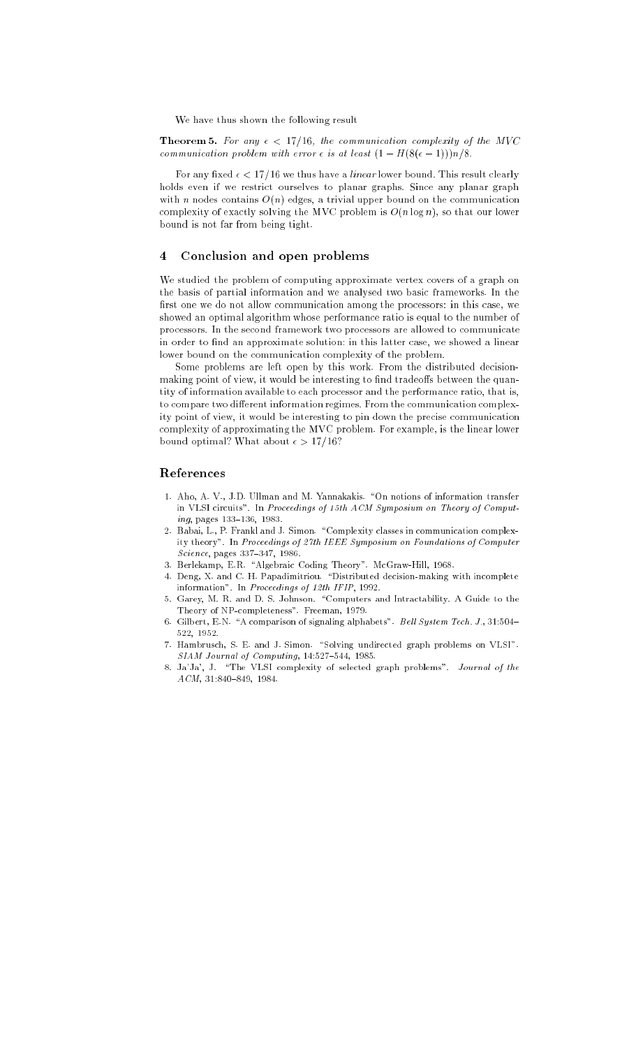We have thus shown the following result

Theorem 5. For any  $\epsilon$  < 17/16, the communication complexity of the MVC communication problem with error  $\epsilon$  is at least  $(1 - H(8(\epsilon - 1)))n/8$ .

For any fixed  $\epsilon < 17/16$  we thus have a *linear* lower bound. This result clearly holds even if we restrict ourselves to planar graphs. Since any planar graph with *n* nodes contains  $O(n)$  edges, a trivial upper bound on the communication complexity of exactly solving the MVC problem is  $O(n \log n)$ , so that our lower bound is not far from being tight.

#### Conclusion and open problems  $\overline{\mathbf{4}}$

We studied the problem of computing approximate vertex covers of a graph on the basis of partial information and we analysed two basic frameworks. In the first one we do not allow communication among the processors: in this case, we showed an optimal algorithm whose performance ratio is equal to the number of processors. In the second framework two processors are allowed to communicate in order to find an approximate solution: in this latter case, we showed a linear lower bound on the communication complexity of the problem.

Some problems are left open by this work. From the distributed decisionmaking point of view, it would be interesting to find tradeoffs between the quantity of information available to each processor and the performance ratio, that is, to compare two different information regimes. From the communication complexity point of view, it would be interesting to pin down the precise communication complexity of approximating the MVC problem. For example, is the linear lower bound optimal? What about  $\epsilon > 17/16$ ?

### References

- 1. Aho, A. V., J.D. Ullman and M. Yannakakis. "On notions of information transfer in VLSI circuits". In Proceedings of 15th ACM Symposium on Theory of Comput $ing, pages 133–136, 1983.$
- 2. Babai, L., P. Frankl and J. Simon. \Complexity classes in communication complexity theory". In Proceedings of 27th IEEE Symposium on Foundations of Computer Science, pages 337-347, 1986.
- 3. Berlekamp, E.R. "Algebraic Coding Theory". McGraw-Hill, 1968.
- 4. Deng, X. and C. H. Papadimitriou. "Distributed decision-making with incomplete information". In Proceedings of 12th IFIP, 1992.
- 5. Garey, M. R. and D. S. Johnson. \Computers and Intractability. A Guide to the Theory of NP-completeness". Freeman, 1979.
- 6. Gilbert, E.N. "A comparison of signaling alphabets". Bell System Tech. J., 31:504-522, 1952.
- $7.$  Hambrusch, S. E. and J. Simon.  $\,$  "Solving undirected graph problems on VLSI".  $SIAM$  Journal of Computing, 14:527-544, 1985.
- 8. Ja'Ja', J. "The VLSI complexity of selected graph problems". Journal of the  $A CM$ , 31:840-849, 1984.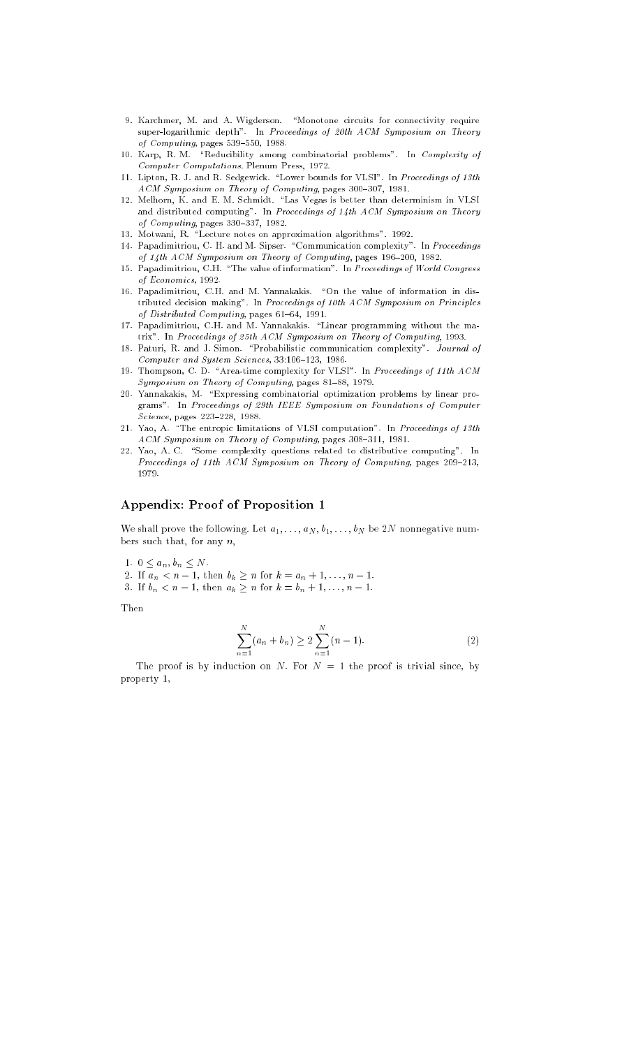- 9. Karchmer, M. and A. Wigderson. "Monotone circuits for connectivity require super-logarithmic depth". In Proceedings of 20th ACM Symposium on Theory of  $Computing$ , pages 539-550, 1988.
- 10. Karp, R. M. "Reducibility among combinatorial problems". In Complexity of Computer Computations. Plenum Press, 1972.
- 11. Lipton, R. J. and R. Sedgewick. "Lower bounds for VLSI". In Proceedings of 13th ACM Symposium on Theory of Computing, pages 300-307, 1981.
- 12. Melhorn, K. and E. M. Schmidt. "Las Vegas is better than determinism in VLSI and distributed computing". In Proceedings of 14th ACM Symposium on Theory of  $Computing$ , pages 330-337, 1982.
- 13. Motwani, R. "Lecture notes on approximation algorithms". 1992.
- 14. Papadimitriou, C. H. and M. Sipser. "Communication complexity". In Proceedings of  $14th$   $ACM$  Symposium on Theory of Computing, pages 196-200, 1982.
- 15. Papadimitriou, C.H. "The value of information". In Proceedings of World Congress of Economics, 1992.
- 16. Papadimitriou, C.H. and M. Yannakakis. "On the value of information in distributed decision making". In Proceedings of 10th ACM Symposium on Principles of Distributed Computing, pages  $61-64$ , 1991.
- 17. Papadimitriou, C.H. and M. Yannakakis. "Linear programming without the matrix". In Proceedings of 25th ACM Symposium on Theory of Computing, 1993.
- 18. Paturi, R. and J. Simon. "Probabilistic communication complexity". Journal of Computer and System Sciences, 33:106-123, 1986.
- 19. Thompson, C. D. "Area-time complexity for VLSI". In Proceedings of 11th ACM Symposium on Theory of Computing, pages 81-88, 1979.
- 20. Yannakakis, M. \Expressing combinatorial optimization problems by linear programs". In Proceedings of 29th IEEE Symposium on Foundations of Computer  $Science$ , pages  $223–228$ , 1988.
- 21. Yao, A. "The entropic limitations of VLSI computation". In Proceedings of 13th ACM Symposium on Theory of Computing, pages 308-311, 1981.
- 22. Yao, A. C. "Some complexity questions related to distributive computing". In Proceedings of 11th  $ACM$  Symposium on Theory of Computing, pages 209-213, 1979

### Appendix: Proof of Proposition 1

We shall prove the following. Let  $a_1, \ldots, a_N, b_1, \ldots, b_N$  be 2N nonnegative numbers such that, for any  $n$ ,

- 1.  $0 \le a_n, b_n \le N$ .
- 2. If  $a_n < n-1$ , then  $b_k \ge n$  for  $k = a_n + 1, ..., n 1$ .
- 3. If  $b_n < n-1$ , then  $a_k \ge n$  for  $k = b_n + 1, ..., n 1$ .

Then

$$
\sum_{n=1}^{N} (a_n + b_n) \ge 2 \sum_{n=1}^{N} (n-1).
$$
 (2)

The proof is by induction on N. For  $N = 1$  the proof is trivial since, by property 1,